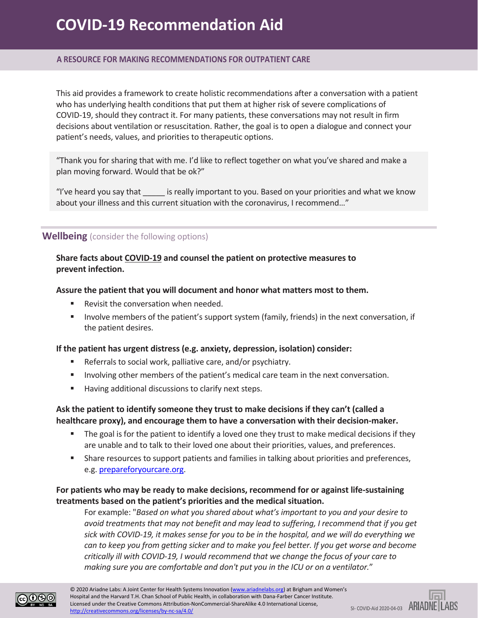### **A RESOURCE FOR MAKING RECOMMENDATIONS FOR OUTPATIENT CARE**

This aid provides a framework to create holistic recommendations after a conversation with a patient who has underlying health conditions that put them at higher risk of severe complications of COVID-19, should they contract it. For many patients, these conversations may not result in firm decisions about ventilation or resuscitation. Rather, the goal is to open a dialogue and connect your patient's needs, values, and priorities to therapeutic options.

"Thank you for sharing that with me. I'd like to reflect together on what you've shared and make a plan moving forward. Would that be ok?"

"I've heard you say that \_\_\_\_\_\_ is really important to you. Based on your priorities and what we know about your illness and this current situation with the coronavirus, I recommend…"

## **Wellbeing** (consider the following options)

## **Share facts about [COVID-19](https://www.cdc.gov/coronavirus/2019-ncov/downloads/2019-ncov-factsheet.pdf) and counsel the patient on protective measures to prevent infection.**

### **Assure the patient that you will document and honor what matters most to them.**

- Revisit the conversation when needed.
- **Involve members of the patient's support system (family, friends) in the next conversation, if** the patient desires.

#### **If the patient has urgent distress (e.g. anxiety, depression, isolation) consider:**

- Referrals to social work, palliative care, and/or psychiatry.
- **Involving other members of the patient's medical care team in the next conversation.**
- Having additional discussions to clarify next steps.

# **Ask the patient to identify someone they trust to make decisions if they can't (called a healthcare proxy), and encourage them to have a conversation with their decision-maker.**

- The goal is for the patient to identify a loved one they trust to make medical decisions if they are unable and to talk to their loved one about their priorities, values, and preferences.
- **Share resources to support patients and families in talking about priorities and preferences,** e.g. [prepareforyourcare.org.](https://prepareforyourcare.org/welcome)

# **For patients who may be ready to make decisions, recommend for or against life-sustaining treatments based on the patient's priorities and the medical situation.**

For example: "*Based on what you shared about what's important to you and your desire to avoid treatments that may not benefit and may lead to suffering, I recommend that if you get sick with COVID-19, it makes sense for you to be in the hospital, and we will do everything we can to keep you from getting sicker and to make you feel better. If you get worse and become critically ill with COVID-19, I would recommend that we change the focus of your care to making sure you are comfortable and don't put you in the ICU or on a ventilator.*"